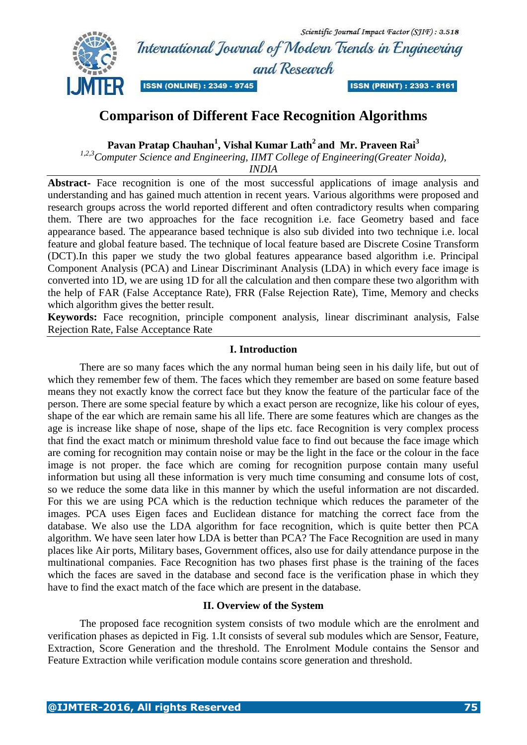Scientific Journal Impact Factor (SJIF): 3.518 International Journal of Modern Trends in Engineering and Research **ISSN (ONLINE) : 2349 - 9745** 



**ISSN (PRINT): 2393 - 8161** 

# **Comparison of Different Face Recognition Algorithms**

**Pavan Pratap Chauhan<sup>1</sup> , Vishal Kumar Lath<sup>2</sup> and Mr. Praveen Rai<sup>3</sup>**

*1,2,3Computer Science and Engineering, IIMT College of Engineering(Greater Noida),*

*INDIA*

**Abstract-** Face recognition is one of the most successful applications of image analysis and understanding and has gained much attention in recent years. Various algorithms were proposed and research groups across the world reported different and often contradictory results when comparing them. There are two approaches for the face recognition i.e. face Geometry based and face appearance based. The appearance based technique is also sub divided into two technique i.e. local feature and global feature based. The technique of local feature based are Discrete Cosine Transform (DCT).In this paper we study the two global features appearance based algorithm i.e. Principal Component Analysis (PCA) and Linear Discriminant Analysis (LDA) in which every face image is converted into 1D, we are using 1D for all the calculation and then compare these two algorithm with the help of FAR (False Acceptance Rate), FRR (False Rejection Rate), Time, Memory and checks which algorithm gives the better result.

**Keywords:** Face recognition, principle component analysis, linear discriminant analysis, False Rejection Rate, False Acceptance Rate

# **I. Introduction**

There are so many faces which the any normal human being seen in his daily life, but out of which they remember few of them. The faces which they remember are based on some feature based means they not exactly know the correct face but they know the feature of the particular face of the person. There are some special feature by which a exact person are recognize, like his colour of eyes, shape of the ear which are remain same his all life. There are some features which are changes as the age is increase like shape of nose, shape of the lips etc. face Recognition is very complex process that find the exact match or minimum threshold value face to find out because the face image which are coming for recognition may contain noise or may be the light in the face or the colour in the face image is not proper. the face which are coming for recognition purpose contain many useful information but using all these information is very much time consuming and consume lots of cost, so we reduce the some data like in this manner by which the useful information are not discarded. For this we are using PCA which is the reduction technique which reduces the parameter of the images. PCA uses Eigen faces and Euclidean distance for matching the correct face from the database. We also use the LDA algorithm for face recognition, which is quite better then PCA algorithm. We have seen later how LDA is better than PCA? The Face Recognition are used in many places like Air ports, Military bases, Government offices, also use for daily attendance purpose in the multinational companies. Face Recognition has two phases first phase is the training of the faces which the faces are saved in the database and second face is the verification phase in which they have to find the exact match of the face which are present in the database.

### **II. Overview of the System**

The proposed face recognition system consists of two module which are the enrolment and verification phases as depicted in Fig. 1.It consists of several sub modules which are Sensor, Feature, Extraction, Score Generation and the threshold. The Enrolment Module contains the Sensor and Feature Extraction while verification module contains score generation and threshold.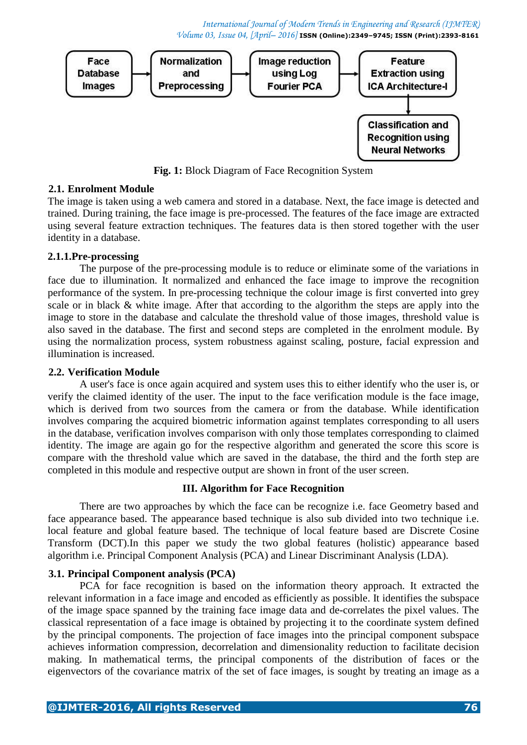

**Fig. 1:** Block Diagram of Face Recognition System

# **2.1. Enrolment Module**

The image is taken using a web camera and stored in a database. Next, the face image is detected and trained. During training, the face image is pre-processed. The features of the face image are extracted using several feature extraction techniques. The features data is then stored together with the user identity in a database.

### **2.1.1.Pre-processing**

The purpose of the pre-processing module is to reduce or eliminate some of the variations in face due to illumination. It normalized and enhanced the face image to improve the recognition performance of the system. In pre-processing technique the colour image is first converted into grey scale or in black & white image. After that according to the algorithm the steps are apply into the image to store in the database and calculate the threshold value of those images, threshold value is also saved in the database. The first and second steps are completed in the enrolment module. By using the normalization process, system robustness against scaling, posture, facial expression and illumination is increased.

### **2.2. Verification Module**

A user's face is once again acquired and system uses this to either identify who the user is, or verify the claimed identity of the user. The input to the face verification module is the face image, which is derived from two sources from the camera or from the database. While identification involves comparing the acquired biometric information against templates corresponding to all users in the database, verification involves comparison with only those templates corresponding to claimed identity. The image are again go for the respective algorithm and generated the score this score is compare with the threshold value which are saved in the database, the third and the forth step are completed in this module and respective output are shown in front of the user screen.

### **III. Algorithm for Face Recognition**

There are two approaches by which the face can be recognize i.e. face Geometry based and face appearance based. The appearance based technique is also sub divided into two technique i.e. local feature and global feature based. The technique of local feature based are Discrete Cosine Transform (DCT).In this paper we study the two global features (holistic) appearance based algorithm i.e. Principal Component Analysis (PCA) and Linear Discriminant Analysis (LDA).

### **3.1. Principal Component analysis (PCA)**

PCA for face recognition is based on the information theory approach. It extracted the relevant information in a face image and encoded as efficiently as possible. It identifies the subspace of the image space spanned by the training face image data and de-correlates the pixel values. The classical representation of a face image is obtained by projecting it to the coordinate system defined by the principal components. The projection of face images into the principal component subspace achieves information compression, decorrelation and dimensionality reduction to facilitate decision making. In mathematical terms, the principal components of the distribution of faces or the eigenvectors of the covariance matrix of the set of face images, is sought by treating an image as a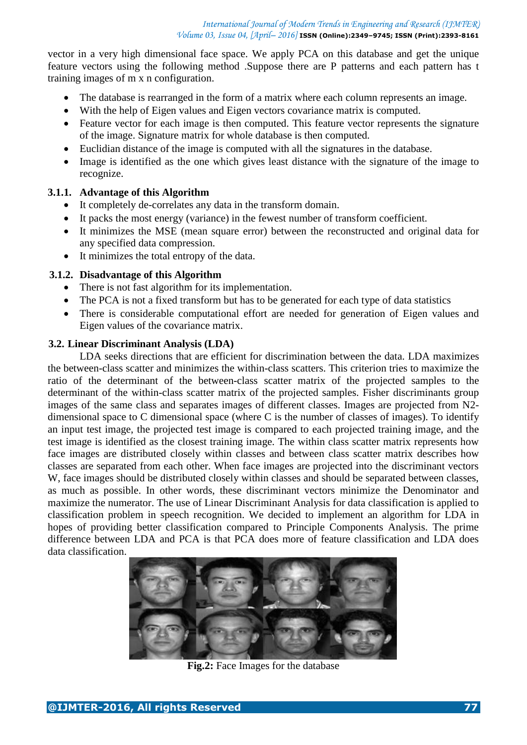vector in a very high dimensional face space. We apply PCA on this database and get the unique feature vectors using the following method .Suppose there are P patterns and each pattern has t training images of m x n configuration.

- The database is rearranged in the form of a matrix where each column represents an image.
- With the help of Eigen values and Eigen vectors covariance matrix is computed.
- Feature vector for each image is then computed. This feature vector represents the signature of the image. Signature matrix for whole database is then computed.
- Euclidian distance of the image is computed with all the signatures in the database.
- Image is identified as the one which gives least distance with the signature of the image to recognize.

# **3.1.1. Advantage of this Algorithm**

- It completely de-correlates any data in the transform domain.
- It packs the most energy (variance) in the fewest number of transform coefficient.
- It minimizes the MSE (mean square error) between the reconstructed and original data for any specified data compression.
- It minimizes the total entropy of the data.

# **3.1.2. Disadvantage of this Algorithm**

- There is not fast algorithm for its implementation.
- The PCA is not a fixed transform but has to be generated for each type of data statistics
- There is considerable computational effort are needed for generation of Eigen values and Eigen values of the covariance matrix.

### **3.2. Linear Discriminant Analysis (LDA)**

LDA seeks directions that are efficient for discrimination between the data. LDA maximizes the between-class scatter and minimizes the within-class scatters. This criterion tries to maximize the ratio of the determinant of the between-class scatter matrix of the projected samples to the determinant of the within-class scatter matrix of the projected samples. Fisher discriminants group images of the same class and separates images of different classes. Images are projected from N2 dimensional space to C dimensional space (where C is the number of classes of images). To identify an input test image, the projected test image is compared to each projected training image, and the test image is identified as the closest training image. The within class scatter matrix represents how face images are distributed closely within classes and between class scatter matrix describes how classes are separated from each other. When face images are projected into the discriminant vectors W, face images should be distributed closely within classes and should be separated between classes, as much as possible. In other words, these discriminant vectors minimize the Denominator and maximize the numerator. The use of Linear Discriminant Analysis for data classification is applied to classification problem in speech recognition. We decided to implement an algorithm for LDA in hopes of providing better classification compared to Principle Components Analysis. The prime difference between LDA and PCA is that PCA does more of feature classification and LDA does data classification.



**Fig.2:** Face Images for the database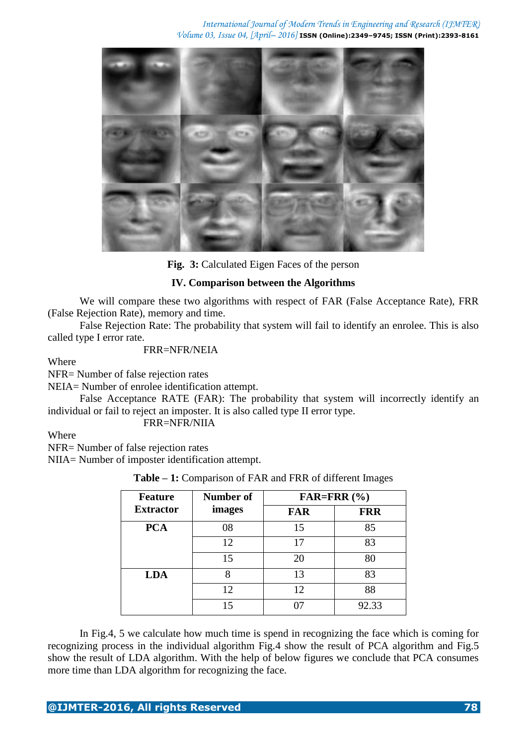

**Fig. 3:** Calculated Eigen Faces of the person

### **IV. Comparison between the Algorithms**

We will compare these two algorithms with respect of FAR (False Acceptance Rate), FRR (False Rejection Rate), memory and time.

False Rejection Rate: The probability that system will fail to identify an enrolee. This is also called type I error rate.

#### FRR=NFR/NEIA

Where

NFR= Number of false rejection rates

NEIA= Number of enrolee identification attempt.

False Acceptance RATE (FAR): The probability that system will incorrectly identify an individual or fail to reject an imposter. It is also called type II error type.

### FRR=NFR/NIIA

**Where** 

NFR= Number of false rejection rates

NIIA= Number of imposter identification attempt.

|  |  | <b>Table – 1:</b> Comparison of FAR and FRR of different Images |  |  |  |  |  |  |  |
|--|--|-----------------------------------------------------------------|--|--|--|--|--|--|--|
|--|--|-----------------------------------------------------------------|--|--|--|--|--|--|--|

| <b>Feature</b>   | Number of | FAR=FRR $(\% )$ |            |  |  |  |
|------------------|-----------|-----------------|------------|--|--|--|
| <b>Extractor</b> | images    | <b>FAR</b>      | <b>FRR</b> |  |  |  |
| <b>PCA</b>       | 08        | 15              | 85         |  |  |  |
|                  | 12        | 17              | 83         |  |  |  |
|                  | 15        | 20              | 80         |  |  |  |
| <b>LDA</b>       | 8         | 13              | 83         |  |  |  |
|                  | 12        | 12              | 88         |  |  |  |
|                  | 15        |                 | 92.33      |  |  |  |

In Fig.4, 5 we calculate how much time is spend in recognizing the face which is coming for recognizing process in the individual algorithm Fig.4 show the result of PCA algorithm and Fig.5 show the result of LDA algorithm. With the help of below figures we conclude that PCA consumes more time than LDA algorithm for recognizing the face.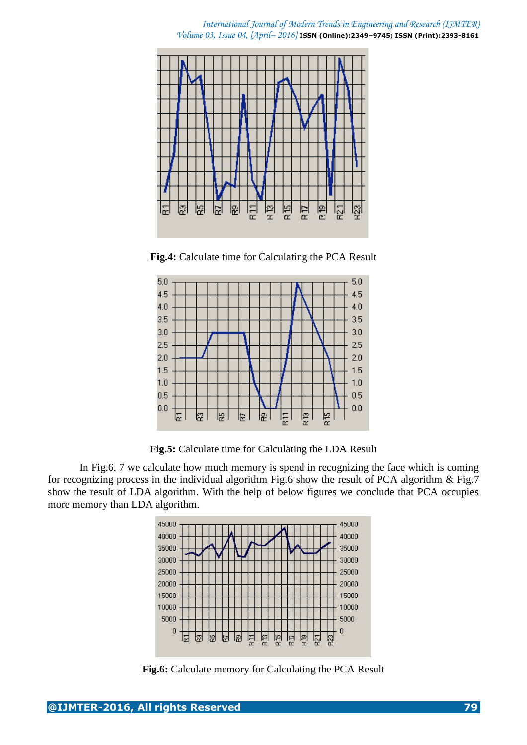

**Fig.4:** Calculate time for Calculating the PCA Result



**Fig.5:** Calculate time for Calculating the LDA Result

In Fig.6, 7 we calculate how much memory is spend in recognizing the face which is coming for recognizing process in the individual algorithm Fig.6 show the result of PCA algorithm & Fig.7 show the result of LDA algorithm. With the help of below figures we conclude that PCA occupies more memory than LDA algorithm.



**Fig.6:** Calculate memory for Calculating the PCA Result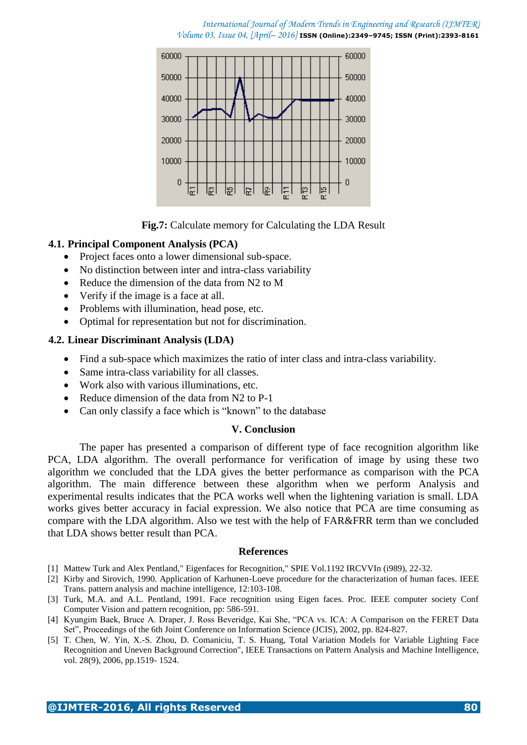

**Fig.7:** Calculate memory for Calculating the LDA Result

### **4.1. Principal Component Analysis (PCA)**

- Project faces onto a lower dimensional sub-space.
- No distinction between inter and intra-class variability
- Reduce the dimension of the data from N2 to M
- Verify if the image is a face at all.
- Problems with illumination, head pose, etc.
- Optimal for representation but not for discrimination.

### **4.2. Linear Discriminant Analysis (LDA)**

- Find a sub-space which maximizes the ratio of inter class and intra-class variability.
- Same intra-class variability for all classes.
- Work also with various illuminations, etc.
- Reduce dimension of the data from N2 to P-1
- Can only classify a face which is "known" to the database

### **V. Conclusion**

The paper has presented a comparison of different type of face recognition algorithm like PCA, LDA algorithm. The overall performance for verification of image by using these two algorithm we concluded that the LDA gives the better performance as comparison with the PCA algorithm. The main difference between these algorithm when we perform Analysis and experimental results indicates that the PCA works well when the lightening variation is small. LDA works gives better accuracy in facial expression. We also notice that PCA are time consuming as compare with the LDA algorithm. Also we test with the help of FAR&FRR term than we concluded that LDA shows better result than PCA.

#### **References**

- [1] Mattew Turk and Alex Pentland," Eigenfaces for Recognition," SPIE Vol.1192 IRCVVIn (i989), 22-32.
- [2] Kirby and Sirovich, 1990. Application of Karhunen-Loeve procedure for the characterization of human faces. IEEE Trans. pattern analysis and machine intelligence, 12:103-108.
- [3] Turk, M.A. and A.L. Pentland, 1991. Face recognition using Eigen faces. Proc. IEEE computer society Conf Computer Vision and pattern recognition, pp: 586-591.
- [4] Kyungim Baek, Bruce A. Draper, J. Ross Beveridge, Kai She, "PCA vs. ICA: A Comparison on the FERET Data Set", Proceedings of the 6th Joint Conference on Information Science (JCIS), 2002, pp. 824-827.
- [5] T. Chen, W. Yin, X.-S. Zhou, D. Comaniciu, T. S. Huang, Total Variation Models for Variable Lighting Face Recognition and Uneven Background Correction", IEEE Transactions on Pattern Analysis and Machine Intelligence, vol. 28(9), 2006, pp.1519- 1524.